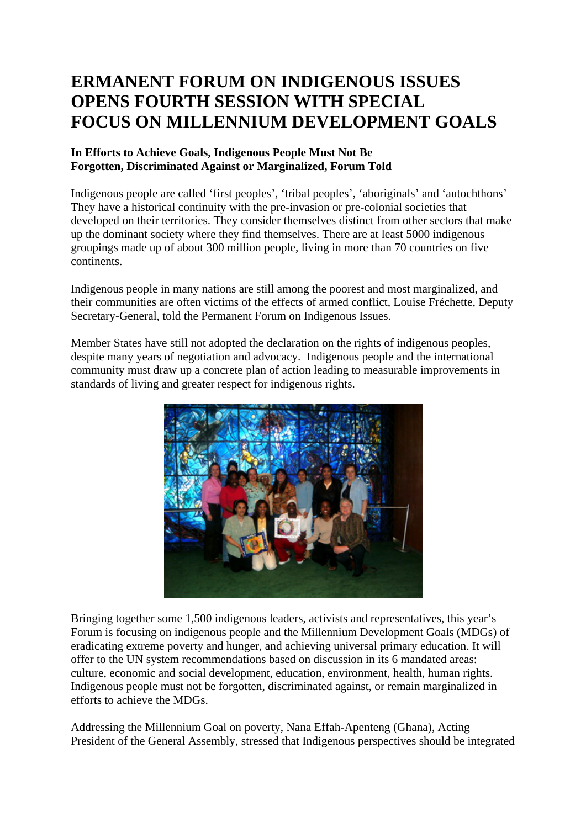## **ERMANENT FORUM ON INDIGENOUS ISSUES OPENS FOURTH SESSION WITH SPECIAL FOCUS ON MILLENNIUM DEVELOPMENT GOALS**

## **In Efforts to Achieve Goals, Indigenous People Must Not Be Forgotten, Discriminated Against or Marginalized, Forum Told**

Indigenous people are called 'first peoples', 'tribal peoples', 'aboriginals' and 'autochthons' They have a historical continuity with the pre-invasion or pre-colonial societies that developed on their territories. They consider themselves distinct from other sectors that make up the dominant society where they find themselves. There are at least 5000 indigenous groupings made up of about 300 million people, living in more than 70 countries on five continents.

Indigenous people in many nations are still among the poorest and most marginalized, and their communities are often victims of the effects of armed conflict, Louise Fréchette, Deputy Secretary-General, told the Permanent Forum on Indigenous Issues.

Member States have still not adopted the declaration on the rights of indigenous peoples, despite many years of negotiation and advocacy. Indigenous people and the international community must draw up a concrete plan of action leading to measurable improvements in standards of living and greater respect for indigenous rights.



Bringing together some 1,500 indigenous leaders, activists and representatives, this year's Forum is focusing on indigenous people and the Millennium Development Goals (MDGs) of eradicating extreme poverty and hunger, and achieving universal primary education. It will offer to the UN system recommendations based on discussion in its 6 mandated areas: culture, economic and social development, education, environment, health, human rights. Indigenous people must not be forgotten, discriminated against, or remain marginalized in efforts to achieve the MDGs.

Addressing the Millennium Goal on poverty, Nana Effah-Apenteng (Ghana), Acting President of the General Assembly, stressed that Indigenous perspectives should be integrated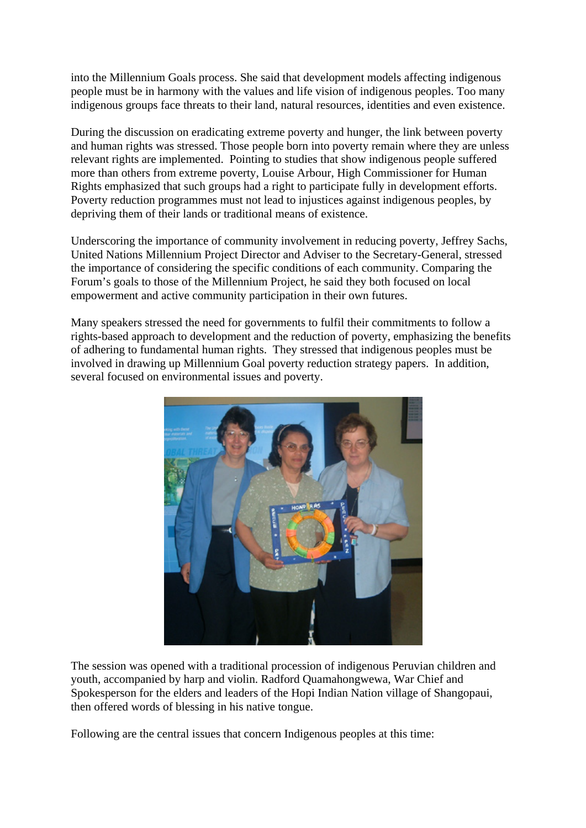into the Millennium Goals process. She said that development models affecting indigenous people must be in harmony with the values and life vision of indigenous peoples. Too many indigenous groups face threats to their land, natural resources, identities and even existence.

During the discussion on eradicating extreme poverty and hunger, the link between poverty and human rights was stressed. Those people born into poverty remain where they are unless relevant rights are implemented. Pointing to studies that show indigenous people suffered more than others from extreme poverty, Louise Arbour, High Commissioner for Human Rights emphasized that such groups had a right to participate fully in development efforts. Poverty reduction programmes must not lead to injustices against indigenous peoples, by depriving them of their lands or traditional means of existence.

Underscoring the importance of community involvement in reducing poverty, Jeffrey Sachs, United Nations Millennium Project Director and Adviser to the Secretary-General, stressed the importance of considering the specific conditions of each community. Comparing the Forum's goals to those of the Millennium Project, he said they both focused on local empowerment and active community participation in their own futures.

Many speakers stressed the need for governments to fulfil their commitments to follow a rights-based approach to development and the reduction of poverty, emphasizing the benefits of adhering to fundamental human rights. They stressed that indigenous peoples must be involved in drawing up Millennium Goal poverty reduction strategy papers. In addition, several focused on environmental issues and poverty.



The session was opened with a traditional procession of indigenous Peruvian children and youth, accompanied by harp and violin. Radford Quamahongwewa, War Chief and Spokesperson for the elders and leaders of the Hopi Indian Nation village of Shangopaui, then offered words of blessing in his native tongue.

Following are the central issues that concern Indigenous peoples at this time: